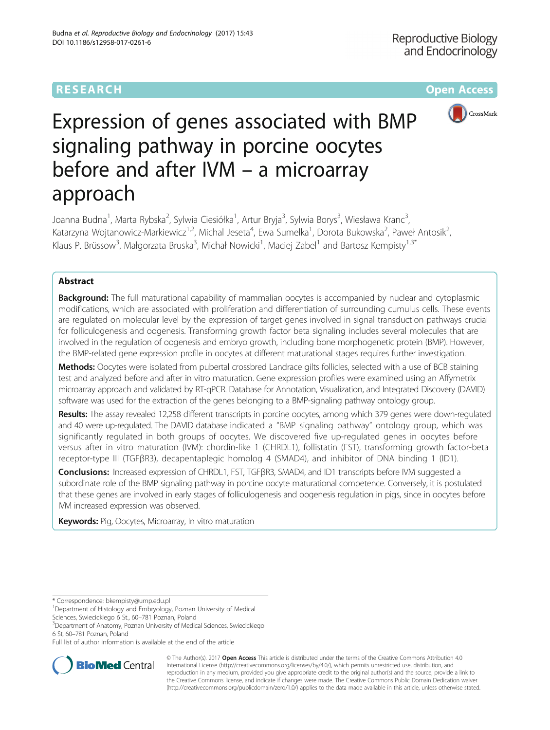## **RESEARCH CHE Open Access**



# Expression of genes associated with BMP signaling pathway in porcine oocytes before and after IVM – a microarray approach

Joanna Budna<sup>1</sup>, Marta Rybska<sup>2</sup>, Sylwia Ciesiółka<sup>1</sup>, Artur Bryja<sup>3</sup>, Sylwia Borys<sup>3</sup>, Wiesława Kranc<sup>3</sup> , Katarzyna Wojtanowicz-Markiewicz<sup>1,2</sup>, Michal Jeseta<sup>4</sup>, Ewa Sumelka<sup>1</sup>, Dorota Bukowska<sup>2</sup>, Paweł Antosik<sup>2</sup> , Klaus P. Brüssow<sup>3</sup>, Małgorzata Bruska<sup>3</sup>, Michał Nowicki<sup>1</sup>, Maciej Zabel<sup>1</sup> and Bartosz Kempisty<sup>1,3\*</sup>

## Abstract

**Background:** The full maturational capability of mammalian oocytes is accompanied by nuclear and cytoplasmic modifications, which are associated with proliferation and differentiation of surrounding cumulus cells. These events are regulated on molecular level by the expression of target genes involved in signal transduction pathways crucial for folliculogenesis and oogenesis. Transforming growth factor beta signaling includes several molecules that are involved in the regulation of oogenesis and embryo growth, including bone morphogenetic protein (BMP). However, the BMP-related gene expression profile in oocytes at different maturational stages requires further investigation.

Methods: Oocytes were isolated from pubertal crossbred Landrace gilts follicles, selected with a use of BCB staining test and analyzed before and after in vitro maturation. Gene expression profiles were examined using an Affymetrix microarray approach and validated by RT-qPCR. Database for Annotation, Visualization, and Integrated Discovery (DAVID) software was used for the extraction of the genes belonging to a BMP-signaling pathway ontology group.

Results: The assay revealed 12,258 different transcripts in porcine oocytes, among which 379 genes were down-regulated and 40 were up-regulated. The DAVID database indicated a "BMP signaling pathway" ontology group, which was significantly regulated in both groups of oocytes. We discovered five up-regulated genes in oocytes before versus after in vitro maturation (IVM): chordin-like 1 (CHRDL1), follistatin (FST), transforming growth factor-beta receptor-type III (TGFβR3), decapentaplegic homolog 4 (SMAD4), and inhibitor of DNA binding 1 (ID1).

Conclusions: Increased expression of CHRDL1, FST, TGFβR3, SMAD4, and ID1 transcripts before IVM suggested a subordinate role of the BMP signaling pathway in porcine oocyte maturational competence. Conversely, it is postulated that these genes are involved in early stages of folliculogenesis and oogenesis regulation in pigs, since in oocytes before IVM increased expression was observed.

**Keywords:** Pig, Oocytes, Microarray, In vitro maturation

\* Correspondence: [bkempisty@ump.edu.pl](mailto:bkempisty@ump.edu.pl) <sup>1</sup>

<sup>1</sup>Department of Histology and Embryology, Poznan University of Medical Sciences, Swiecickiego 6 St., 60-781 Poznan, Poland

Department of Anatomy, Poznan University of Medical Sciences, Swiecickiego

6 St, 60–781 Poznan, Poland

Full list of author information is available at the end of the article



© The Author(s). 2017 **Open Access** This article is distributed under the terms of the Creative Commons Attribution 4.0 International License [\(http://creativecommons.org/licenses/by/4.0/](http://creativecommons.org/licenses/by/4.0/)), which permits unrestricted use, distribution, and reproduction in any medium, provided you give appropriate credit to the original author(s) and the source, provide a link to the Creative Commons license, and indicate if changes were made. The Creative Commons Public Domain Dedication waiver [\(http://creativecommons.org/publicdomain/zero/1.0/](http://creativecommons.org/publicdomain/zero/1.0/)) applies to the data made available in this article, unless otherwise stated.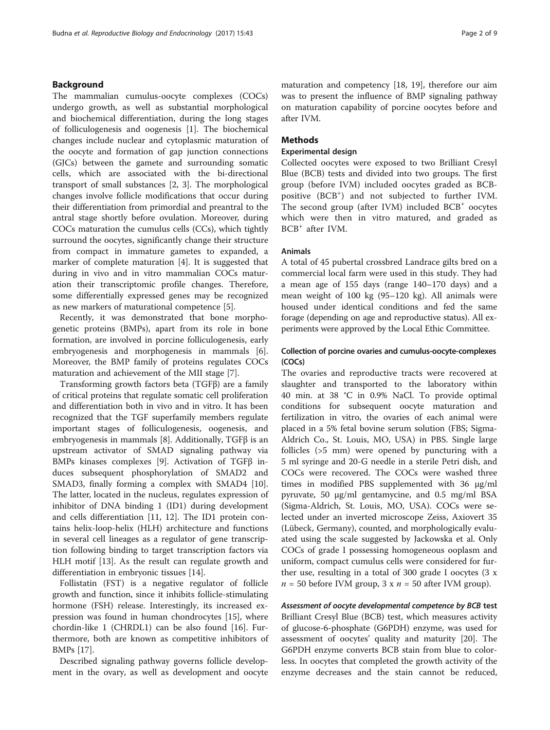## Background

The mammalian cumulus-oocyte complexes (COCs) undergo growth, as well as substantial morphological and biochemical differentiation, during the long stages of folliculogenesis and oogenesis [[1\]](#page-7-0). The biochemical changes include nuclear and cytoplasmic maturation of the oocyte and formation of gap junction connections (GJCs) between the gamete and surrounding somatic cells, which are associated with the bi-directional transport of small substances [\[2](#page-7-0), [3](#page-7-0)]. The morphological changes involve follicle modifications that occur during their differentiation from primordial and preantral to the antral stage shortly before ovulation. Moreover, during COCs maturation the cumulus cells (CCs), which tightly surround the oocytes, significantly change their structure from compact in immature gametes to expanded, a marker of complete maturation [[4\]](#page-7-0). It is suggested that during in vivo and in vitro mammalian COCs maturation their transcriptomic profile changes. Therefore, some differentially expressed genes may be recognized as new markers of maturational competence [[5\]](#page-7-0).

Recently, it was demonstrated that bone morphogenetic proteins (BMPs), apart from its role in bone formation, are involved in porcine folliculogenesis, early embryogenesis and morphogenesis in mammals [\[6](#page-7-0)]. Moreover, the BMP family of proteins regulates COCs maturation and achievement of the MII stage [\[7\]](#page-7-0).

Transforming growth factors beta (TGFβ) are a family of critical proteins that regulate somatic cell proliferation and differentiation both in vivo and in vitro. It has been recognized that the TGF superfamily members regulate important stages of folliculogenesis, oogenesis, and embryogenesis in mammals [\[8](#page-7-0)]. Additionally, TGFβ is an upstream activator of SMAD signaling pathway via BMPs kinases complexes [[9\]](#page-7-0). Activation of TGFβ induces subsequent phosphorylation of SMAD2 and SMAD3, finally forming a complex with SMAD4 [\[10](#page-7-0)]. The latter, located in the nucleus, regulates expression of inhibitor of DNA binding 1 (ID1) during development and cells differentiation [[11, 12\]](#page-7-0). The ID1 protein contains helix-loop-helix (HLH) architecture and functions in several cell lineages as a regulator of gene transcription following binding to target transcription factors via HLH motif [\[13](#page-7-0)]. As the result can regulate growth and differentiation in embryonic tissues [\[14](#page-7-0)].

Follistatin (FST) is a negative regulator of follicle growth and function, since it inhibits follicle-stimulating hormone (FSH) release. Interestingly, its increased expression was found in human chondrocytes [[15\]](#page-7-0), where chordin-like 1 (CHRDL1) can be also found [\[16](#page-7-0)]. Furthermore, both are known as competitive inhibitors of BMPs [[17\]](#page-7-0).

Described signaling pathway governs follicle development in the ovary, as well as development and oocyte maturation and competency [\[18](#page-7-0), [19](#page-7-0)], therefore our aim was to present the influence of BMP signaling pathway on maturation capability of porcine oocytes before and after IVM.

## Methods

## Experimental design

Collected oocytes were exposed to two Brilliant Cresyl Blue (BCB) tests and divided into two groups. The first group (before IVM) included oocytes graded as BCBpositive (BCB<sup>+</sup>) and not subjected to further IVM. The second group (after IVM) included BCB<sup>+</sup> oocytes which were then in vitro matured, and graded as BCB<sup>+</sup> after IVM.

## Animals

A total of 45 pubertal crossbred Landrace gilts bred on a commercial local farm were used in this study. They had a mean age of 155 days (range 140–170 days) and a mean weight of 100 kg (95–120 kg). All animals were housed under identical conditions and fed the same forage (depending on age and reproductive status). All experiments were approved by the Local Ethic Committee.

## Collection of porcine ovaries and cumulus-oocyte-complexes (COCs)

The ovaries and reproductive tracts were recovered at slaughter and transported to the laboratory within 40 min. at 38 °C in 0.9% NaCl. To provide optimal conditions for subsequent oocyte maturation and fertilization in vitro, the ovaries of each animal were placed in a 5% fetal bovine serum solution (FBS; Sigma-Aldrich Co., St. Louis, MO, USA) in PBS. Single large follicles (>5 mm) were opened by puncturing with a 5 ml syringe and 20-G needle in a sterile Petri dish, and COCs were recovered. The COCs were washed three times in modified PBS supplemented with 36 μg/ml pyruvate, 50 μg/ml gentamycine, and 0.5 mg/ml BSA (Sigma-Aldrich, St. Louis, MO, USA). COCs were selected under an inverted microscope Zeiss, Axiovert 35 (Lübeck, Germany), counted, and morphologically evaluated using the scale suggested by Jackowska et al. Only COCs of grade I possessing homogeneous ooplasm and uniform, compact cumulus cells were considered for further use, resulting in a total of 300 grade I oocytes (3 x  $n = 50$  before IVM group, 3 x  $n = 50$  after IVM group).

Assessment of oocyte developmental competence by BCB test Brilliant Cresyl Blue (BCB) test, which measures activity of glucose-6-phosphate (G6PDH) enzyme, was used for assessment of oocytes' quality and maturity [\[20\]](#page-7-0). The G6PDH enzyme converts BCB stain from blue to colorless. In oocytes that completed the growth activity of the enzyme decreases and the stain cannot be reduced,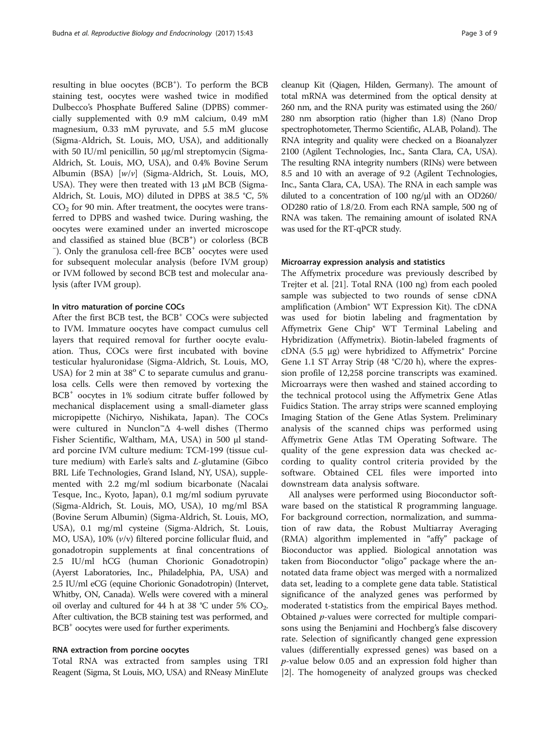resulting in blue oocytes (BCB<sup>+</sup>). To perform the BCB staining test, oocytes were washed twice in modified Dulbecco's Phosphate Buffered Saline (DPBS) commercially supplemented with 0.9 mM calcium, 0.49 mM magnesium, 0.33 mM pyruvate, and 5.5 mM glucose (Sigma-Aldrich, St. Louis, MO, USA), and additionally with 50 IU/ml penicillin, 50 μg/ml streptomycin (Sigma-Aldrich, St. Louis, MO, USA), and 0.4% Bovine Serum Albumin (BSA) [w/v] (Sigma-Aldrich, St. Louis, MO, USA). They were then treated with 13 μM BCB (Sigma-Aldrich, St. Louis, MO) diluted in DPBS at 38.5 °C, 5%  $CO<sub>2</sub>$  for 90 min. After treatment, the oocytes were transferred to DPBS and washed twice. During washing, the oocytes were examined under an inverted microscope and classified as stained blue  $(BCB<sup>+</sup>)$  or colorless  $(BCB<sup>-</sup>)$ <br>  $\Box$  Only the grapuless cell free  $BCB<sup>+</sup>$  occutes were used <sup>-</sup>). Only the granulosa cell-free BCB<sup>+</sup> oocytes were used for subsequent molecular analysis (before IVM group) or IVM followed by second BCB test and molecular analysis (after IVM group).

## In vitro maturation of porcine COCs

After the first BCB test, the BCB<sup>+</sup> COCs were subjected to IVM. Immature oocytes have compact cumulus cell layers that required removal for further oocyte evaluation. Thus, COCs were first incubated with bovine testicular hyaluronidase (Sigma-Aldrich, St. Louis, MO, USA) for 2 min at  $38^{\circ}$  C to separate cumulus and granulosa cells. Cells were then removed by vortexing the BCB<sup>+</sup> oocytes in 1% sodium citrate buffer followed by mechanical displacement using a small-diameter glass micropipette (Nichiryo, Nishikata, Japan). The COCs were cultured in Nunclon™Δ 4-well dishes (Thermo Fisher Scientific, Waltham, MA, USA) in 500 μl standard porcine IVM culture medium: TCM-199 (tissue culture medium) with Earle's salts and L-glutamine (Gibco BRL Life Technologies, Grand Island, NY, USA), supplemented with 2.2 mg/ml sodium bicarbonate (Nacalai Tesque, Inc., Kyoto, Japan), 0.1 mg/ml sodium pyruvate (Sigma-Aldrich, St. Louis, MO, USA), 10 mg/ml BSA (Bovine Serum Albumin) (Sigma-Aldrich, St. Louis, MO, USA), 0.1 mg/ml cysteine (Sigma-Aldrich, St. Louis, MO, USA), 10% (v/v) filtered porcine follicular fluid, and gonadotropin supplements at final concentrations of 2.5 IU/ml hCG (human Chorionic Gonadotropin) (Ayerst Laboratories, Inc., Philadelphia, PA, USA) and 2.5 IU/ml eCG (equine Chorionic Gonadotropin) (Intervet, Whitby, ON, Canada). Wells were covered with a mineral oil overlay and cultured for 44 h at 38 °C under 5%  $CO_2$ . After cultivation, the BCB staining test was performed, and BCB+ oocytes were used for further experiments.

## RNA extraction from porcine oocytes

Total RNA was extracted from samples using TRI Reagent (Sigma, St Louis, MO, USA) and RNeasy MinElute cleanup Kit (Qiagen, Hilden, Germany). The amount of total mRNA was determined from the optical density at 260 nm, and the RNA purity was estimated using the 260/ 280 nm absorption ratio (higher than 1.8) (Nano Drop spectrophotometer, Thermo Scientific, ALAB, Poland). The RNA integrity and quality were checked on a Bioanalyzer 2100 (Agilent Technologies, Inc., Santa Clara, CA, USA). The resulting RNA integrity numbers (RINs) were between 8.5 and 10 with an average of 9.2 (Agilent Technologies, Inc., Santa Clara, CA, USA). The RNA in each sample was diluted to a concentration of 100 ng/μl with an OD260/ OD280 ratio of 1.8/2.0. From each RNA sample, 500 ng of RNA was taken. The remaining amount of isolated RNA was used for the RT-qPCR study.

### Microarray expression analysis and statistics

The Affymetrix procedure was previously described by Trejter et al. [\[21](#page-7-0)]. Total RNA (100 ng) from each pooled sample was subjected to two rounds of sense cDNA amplification (Ambion® WT Expression Kit). The cDNA was used for biotin labeling and fragmentation by Affymetrix Gene Chip® WT Terminal Labeling and Hybridization (Affymetrix). Biotin-labeled fragments of cDNA (5.5 μg) were hybridized to Affymetrix<sup>®</sup> Porcine Gene 1.1 ST Array Strip (48 °C/20 h), where the expression profile of 12,258 porcine transcripts was examined. Microarrays were then washed and stained according to the technical protocol using the Affymetrix Gene Atlas Fuidics Station. The array strips were scanned employing Imaging Station of the Gene Atlas System. Preliminary analysis of the scanned chips was performed using Affymetrix Gene Atlas TM Operating Software. The quality of the gene expression data was checked according to quality control criteria provided by the software. Obtained CEL files were imported into downstream data analysis software.

All analyses were performed using Bioconductor software based on the statistical R programming language. For background correction, normalization, and summation of raw data, the Robust Multiarray Averaging (RMA) algorithm implemented in "affy" package of Bioconductor was applied. Biological annotation was taken from Bioconductor "oligo" package where the annotated data frame object was merged with a normalized data set, leading to a complete gene data table. Statistical significance of the analyzed genes was performed by moderated t-statistics from the empirical Bayes method. Obtained p-values were corrected for multiple comparisons using the Benjamini and Hochberg's false discovery rate. Selection of significantly changed gene expression values (differentially expressed genes) was based on a p-value below 0.05 and an expression fold higher than |2|. The homogeneity of analyzed groups was checked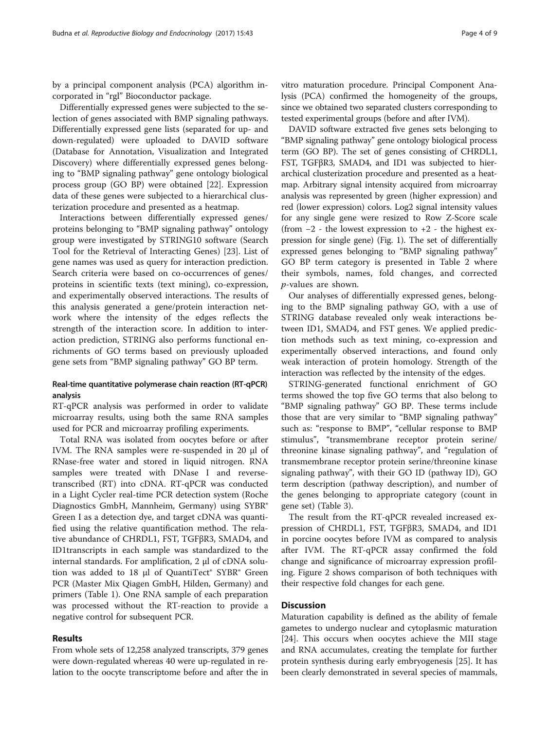by a principal component analysis (PCA) algorithm incorporated in "rgl" Bioconductor package.

Differentially expressed genes were subjected to the selection of genes associated with BMP signaling pathways. Differentially expressed gene lists (separated for up- and down-regulated) were uploaded to DAVID software (Database for Annotation, Visualization and Integrated Discovery) where differentially expressed genes belonging to "BMP signaling pathway" gene ontology biological process group (GO BP) were obtained [[22\]](#page-7-0). Expression data of these genes were subjected to a hierarchical clusterization procedure and presented as a heatmap.

Interactions between differentially expressed genes/ proteins belonging to "BMP signaling pathway" ontology group were investigated by STRING10 software (Search Tool for the Retrieval of Interacting Genes) [\[23](#page-7-0)]. List of gene names was used as query for interaction prediction. Search criteria were based on co-occurrences of genes/ proteins in scientific texts (text mining), co-expression, and experimentally observed interactions. The results of this analysis generated a gene/protein interaction network where the intensity of the edges reflects the strength of the interaction score. In addition to interaction prediction, STRING also performs functional enrichments of GO terms based on previously uploaded gene sets from "BMP signaling pathway" GO BP term.

## Real-time quantitative polymerase chain reaction (RT-qPCR) analysis

RT-qPCR analysis was performed in order to validate microarray results, using both the same RNA samples used for PCR and microarray profiling experiments.

Total RNA was isolated from oocytes before or after IVM. The RNA samples were re-suspended in 20 μl of RNase-free water and stored in liquid nitrogen. RNA samples were treated with DNase I and reversetranscribed (RT) into cDNA. RT-qPCR was conducted in a Light Cycler real-time PCR detection system (Roche Diagnostics GmbH, Mannheim, Germany) using SYBR® Green I as a detection dye, and target cDNA was quantified using the relative quantification method. The relative abundance of CHRDL1, FST, TGFβR3, SMAD4, and ID1transcripts in each sample was standardized to the internal standards. For amplification, 2 μl of cDNA solution was added to 18 μl of QuantiTect<sup>®</sup> SYBR<sup>®</sup> Green PCR (Master Mix Qiagen GmbH, Hilden, Germany) and primers (Table [1](#page-4-0)). One RNA sample of each preparation was processed without the RT-reaction to provide a negative control for subsequent PCR.

## Results

From whole sets of 12,258 analyzed transcripts, 379 genes were down-regulated whereas 40 were up-regulated in relation to the oocyte transcriptome before and after the in vitro maturation procedure. Principal Component Analysis (PCA) confirmed the homogeneity of the groups, since we obtained two separated clusters corresponding to tested experimental groups (before and after IVM).

DAVID software extracted five genes sets belonging to "BMP signaling pathway" gene ontology biological process term (GO BP). The set of genes consisting of CHRDL1, FST, TGFβR3, SMAD4, and ID1 was subjected to hierarchical clusterization procedure and presented as a heatmap. Arbitrary signal intensity acquired from microarray analysis was represented by green (higher expression) and red (lower expression) colors. Log2 signal intensity values for any single gene were resized to Row Z-Score scale (from  $-2$  - the lowest expression to  $+2$  - the highest expression for single gene) (Fig. [1](#page-4-0)). The set of differentially expressed genes belonging to "BMP signaling pathway" GO BP term category is presented in Table [2](#page-4-0) where their symbols, names, fold changes, and corrected p-values are shown.

Our analyses of differentially expressed genes, belonging to the BMP signaling pathway GO, with a use of STRING database revealed only weak interactions between ID1, SMAD4, and FST genes. We applied prediction methods such as text mining, co-expression and experimentally observed interactions, and found only weak interaction of protein homology. Strength of the interaction was reflected by the intensity of the edges.

STRING-generated functional enrichment of GO terms showed the top five GO terms that also belong to "BMP signaling pathway" GO BP. These terms include those that are very similar to "BMP signaling pathway" such as: "response to BMP", "cellular response to BMP stimulus", "transmembrane receptor protein serine/ threonine kinase signaling pathway", and "regulation of transmembrane receptor protein serine/threonine kinase signaling pathway", with their GO ID (pathway ID), GO term description (pathway description), and number of the genes belonging to appropriate category (count in gene set) (Table [3](#page-5-0)).

The result from the RT-qPCR revealed increased expression of CHRDL1, FST, TGFβR3, SMAD4, and ID1 in porcine oocytes before IVM as compared to analysis after IVM. The RT-qPCR assay confirmed the fold change and significance of microarray expression profiling. Figure [2](#page-5-0) shows comparison of both techniques with their respective fold changes for each gene.

## **Discussion**

Maturation capability is defined as the ability of female gametes to undergo nuclear and cytoplasmic maturation [[24\]](#page-7-0). This occurs when oocytes achieve the MII stage and RNA accumulates, creating the template for further protein synthesis during early embryogenesis [[25\]](#page-7-0). It has been clearly demonstrated in several species of mammals,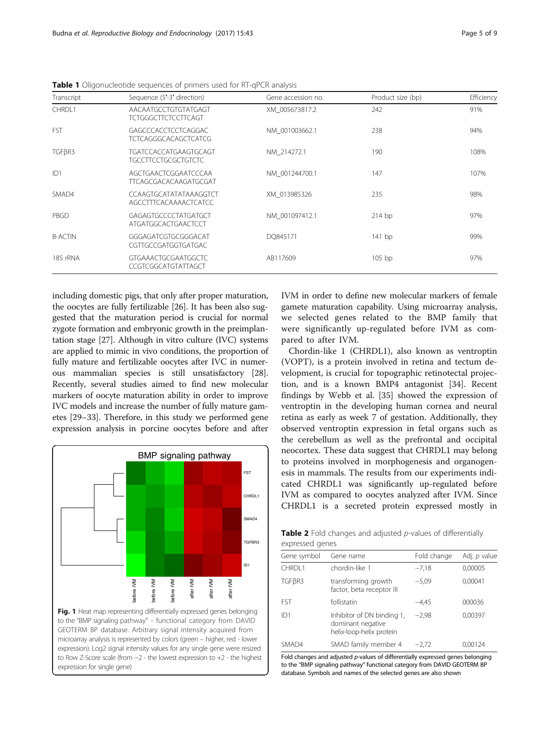| Transcript      | Sequence (5'-3' direction)                                | Gene accession no. | Product size (bp) | Efficiency |
|-----------------|-----------------------------------------------------------|--------------------|-------------------|------------|
| CHRDL1          | AACAATGCCTGTGTATGAGT<br><b>TCTGGGCTTCTCCTTCAGT</b>        | XM 005673817.2     | 242               | 91%        |
| <b>FST</b>      | <b>GAGCCCACCTCCTCAGGAC</b><br><b>TCTCAGGGCACAGCTCATCG</b> | NM 001003662.1     | 238               | 94%        |
| TGFBR3          | TGATCCACCATGAAGTGCAGT<br><b>TGCCTTCCTGCGCTGTCTC</b>       | NM 214272.1        | 190               | 108%       |
| ID <sub>1</sub> | AGCTGAACTCGGAATCCCAA<br>TTCAGCGACACAAGATGCGAT             | NM 001244700.1     | 147               | 107%       |
| SMAD4           | CCAAGTGCATATATAAAGGTCT<br><b>AGCCTTTCACAAAACTCATCC</b>    | XM 013985326       | 235               | 98%        |
| PBGD            | GAGAGTGCCCCTATGATGCT<br>ATGATGGCACTGAACTCCT               | NM 001097412.1     | $214$ bp          | 97%        |
| <b>B-ACTIN</b>  | GGGAGATCGTGCGGGACAT<br>CGTTGCCGATGGTGATGAC                | DO845171           | 141 bp            | 99%        |
| 18S rRNA        | <b>GTGAAACTGCGAATGGCTC</b><br>CCGTCGGCATGTATTAGCT         | AB117609           | $105$ bp          | 97%        |

<span id="page-4-0"></span>Table 1 Oligonucleotide sequences of primers used for RT-qPCR analysis

including domestic pigs, that only after proper maturation, the oocytes are fully fertilizable [[26](#page-7-0)]. It has been also suggested that the maturation period is crucial for normal zygote formation and embryonic growth in the preimplantation stage [[27](#page-7-0)]. Although in vitro culture (IVC) systems are applied to mimic in vivo conditions, the proportion of fully mature and fertilizable oocytes after IVC in numerous mammalian species is still unsatisfactory [[28](#page-7-0)]. Recently, several studies aimed to find new molecular markers of oocyte maturation ability in order to improve IVC models and increase the number of fully mature gametes [[29](#page-8-0)–[33\]](#page-8-0). Therefore, in this study we performed gene expression analysis in porcine oocytes before and after



expression for single gene)

IVM in order to define new molecular markers of female gamete maturation capability. Using microarray analysis, we selected genes related to the BMP family that were significantly up-regulated before IVM as compared to after IVM.

Chordin-like 1 (CHRDL1), also known as ventroptin (VOPT), is a protein involved in retina and tectum development, is crucial for topographic retinotectal projection, and is a known BMP4 antagonist [\[34](#page-8-0)]. Recent findings by Webb et al. [\[35](#page-8-0)] showed the expression of ventroptin in the developing human cornea and neural retina as early as week 7 of gestation. Additionally, they observed ventroptin expression in fetal organs such as the cerebellum as well as the prefrontal and occipital neocortex. These data suggest that CHRDL1 may belong to proteins involved in morphogenesis and organogenesis in mammals. The results from our experiments indicated CHRDL1 was significantly up-regulated before IVM as compared to oocytes analyzed after IVM. Since CHRDL1 is a secreted protein expressed mostly in

Table 2 Fold changes and adjusted p-values of differentially expressed genes

| Gene symbol        | Gene name                                                                   | Fold change | Adj. p value |  |  |  |
|--------------------|-----------------------------------------------------------------------------|-------------|--------------|--|--|--|
| CHRDL1             | chordin-like 1                                                              | $-7,18$     | 0,00005      |  |  |  |
| TGF <sub>BR3</sub> | transforming growth<br>factor, beta receptor III                            | $-5,09$     | 0,00041      |  |  |  |
| <b>FST</b>         | follistatin                                                                 | $-4.45$     | 000036       |  |  |  |
| ID1                | Inhibitor of DN binding 1,<br>dominant negative<br>helix-loop-helix protein | $-2.98$     | 0,00397      |  |  |  |
| SMAD4              | SMAD family member 4                                                        | $-2,72$     | 0.00124      |  |  |  |

Fold changes and adjusted p-values of differentially expressed genes belonging to the "BMP signaling pathway" functional category from DAVID GEOTERM BP database. Symbols and names of the selected genes are also shown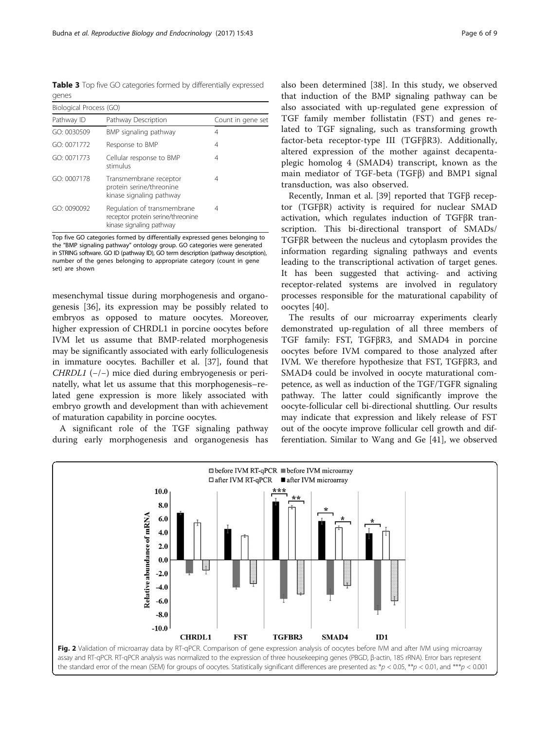<span id="page-5-0"></span>Table 3 Top five GO categories formed by differentially expressed genes

| Biological Process (GO) |                                                                                              |                   |  |  |
|-------------------------|----------------------------------------------------------------------------------------------|-------------------|--|--|
| Pathway ID              | Pathway Description                                                                          | Count in gene set |  |  |
| GO: 0030509             | BMP signaling pathway                                                                        | 4                 |  |  |
| GO: 0071772             | Response to BMP                                                                              | 4                 |  |  |
| GO: 0071773             | Cellular response to BMP<br>stimulus                                                         | 4                 |  |  |
| GO: 0007178             | Transmembrane receptor<br>protein serine/threonine<br>kinase signaling pathway               | 4                 |  |  |
| GO: 0090092             | Regulation of transmembrane<br>receptor protein serine/threonine<br>kinase signaling pathway | 4                 |  |  |

Top five GO categories formed by differentially expressed genes belonging to the "BMP signaling pathway" ontology group. GO categories were generated in STRING software. GO ID (pathway ID), GO term description (pathway description), number of the genes belonging to appropriate category (count in gene set) are shown

mesenchymal tissue during morphogenesis and organogenesis [[36\]](#page-8-0), its expression may be possibly related to embryos as opposed to mature oocytes. Moreover, higher expression of CHRDL1 in porcine oocytes before IVM let us assume that BMP-related morphogenesis may be significantly associated with early folliculogenesis in immature oocytes. Bachiller et al. [[37\]](#page-8-0), found that CHRDL1 (−/−) mice died during embryogenesis or perinatelly, what let us assume that this morphogenesis–related gene expression is more likely associated with embryo growth and development than with achievement of maturation capability in porcine oocytes.

A significant role of the TGF signaling pathway during early morphogenesis and organogenesis has also been determined [\[38](#page-8-0)]. In this study, we observed that induction of the BMP signaling pathway can be also associated with up-regulated gene expression of TGF family member follistatin (FST) and genes related to TGF signaling, such as transforming growth factor-beta receptor-type III (TGFβR3). Additionally, altered expression of the mother against decapentaplegic homolog 4 (SMAD4) transcript, known as the main mediator of TGF-beta (TGFβ) and BMP1 signal transduction, was also observed.

Recently, Inman et al. [[39](#page-8-0)] reported that TGFβ receptor (TGFβR) activity is required for nuclear SMAD activation, which regulates induction of TGFβR transcription. This bi-directional transport of SMADs/ TGFβR between the nucleus and cytoplasm provides the information regarding signaling pathways and events leading to the transcriptional activation of target genes. It has been suggested that activing- and activing receptor-related systems are involved in regulatory processes responsible for the maturational capability of oocytes [\[40](#page-8-0)].

The results of our microarray experiments clearly demonstrated up-regulation of all three members of TGF family: FST, TGFβR3, and SMAD4 in porcine oocytes before IVM compared to those analyzed after IVM. We therefore hypothesize that FST, TGFβR3, and SMAD4 could be involved in oocyte maturational competence, as well as induction of the TGF/TGFR signaling pathway. The latter could significantly improve the oocyte-follicular cell bi-directional shuttling. Our results may indicate that expression and likely release of FST out of the oocyte improve follicular cell growth and differentiation. Similar to Wang and Ge [\[41\]](#page-8-0), we observed

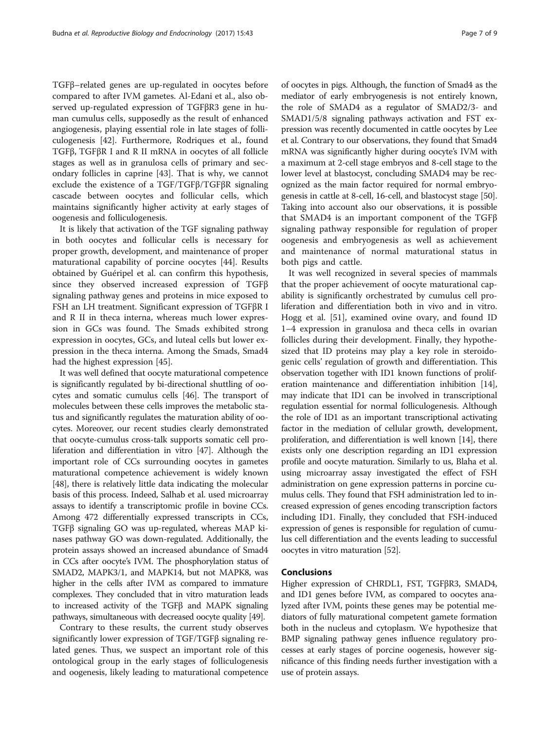TGFβ–related genes are up-regulated in oocytes before compared to after IVM gametes. Al-Edani et al., also observed up-regulated expression of TGFβR3 gene in human cumulus cells, supposedly as the result of enhanced angiogenesis, playing essential role in late stages of folliculogenesis [\[42](#page-8-0)]. Furthermore, Rodriques et al., found TGFβ, TGFβR I and R II mRNA in oocytes of all follicle stages as well as in granulosa cells of primary and secondary follicles in caprine [\[43](#page-8-0)]. That is why, we cannot exclude the existence of a TGF/TGFβ/TGFβR signaling cascade between oocytes and follicular cells, which maintains significantly higher activity at early stages of oogenesis and folliculogenesis.

It is likely that activation of the TGF signaling pathway in both oocytes and follicular cells is necessary for proper growth, development, and maintenance of proper maturational capability of porcine oocytes [[44\]](#page-8-0). Results obtained by Guéripel et al. can confirm this hypothesis, since they observed increased expression of TGFβ signaling pathway genes and proteins in mice exposed to FSH an LH treatment. Significant expression of TGFβR I and R II in theca interna, whereas much lower expression in GCs was found. The Smads exhibited strong expression in oocytes, GCs, and luteal cells but lower expression in the theca interna. Among the Smads, Smad4 had the highest expression [[45\]](#page-8-0).

It was well defined that oocyte maturational competence is significantly regulated by bi-directional shuttling of oocytes and somatic cumulus cells [[46](#page-8-0)]. The transport of molecules between these cells improves the metabolic status and significantly regulates the maturation ability of oocytes. Moreover, our recent studies clearly demonstrated that oocyte-cumulus cross-talk supports somatic cell proliferation and differentiation in vitro [\[47\]](#page-8-0). Although the important role of CCs surrounding oocytes in gametes maturational competence achievement is widely known [[48](#page-8-0)], there is relatively little data indicating the molecular basis of this process. Indeed, Salhab et al. used microarray assays to identify a transcriptomic profile in bovine CCs. Among 472 differentially expressed transcripts in CCs, TGFβ signaling GO was up-regulated, whereas MAP kinases pathway GO was down-regulated. Additionally, the protein assays showed an increased abundance of Smad4 in CCs after oocyte's IVM. The phosphorylation status of SMAD2, MAPK3/1, and MAPK14, but not MAPK8, was higher in the cells after IVM as compared to immature complexes. They concluded that in vitro maturation leads to increased activity of the TGFβ and MAPK signaling pathways, simultaneous with decreased oocyte quality [[49](#page-8-0)].

Contrary to these results, the current study observes significantly lower expression of TGF/TGFβ signaling related genes. Thus, we suspect an important role of this ontological group in the early stages of folliculogenesis and oogenesis, likely leading to maturational competence

of oocytes in pigs. Although, the function of Smad4 as the mediator of early embryogenesis is not entirely known, the role of SMAD4 as a regulator of SMAD2/3- and SMAD1/5/8 signaling pathways activation and FST expression was recently documented in cattle oocytes by Lee et al. Contrary to our observations, they found that Smad4 mRNA was significantly higher during oocyte's IVM with a maximum at 2-cell stage embryos and 8-cell stage to the lower level at blastocyst, concluding SMAD4 may be recognized as the main factor required for normal embryogenesis in cattle at 8-cell, 16-cell, and blastocyst stage [[50](#page-8-0)]. Taking into account also our observations, it is possible that SMAD4 is an important component of the TGFβ signaling pathway responsible for regulation of proper oogenesis and embryogenesis as well as achievement and maintenance of normal maturational status in both pigs and cattle.

It was well recognized in several species of mammals that the proper achievement of oocyte maturational capability is significantly orchestrated by cumulus cell proliferation and differentiation both in vivo and in vitro. Hogg et al. [[51](#page-8-0)], examined ovine ovary, and found ID 1–4 expression in granulosa and theca cells in ovarian follicles during their development. Finally, they hypothesized that ID proteins may play a key role in steroidogenic cells' regulation of growth and differentiation. This observation together with ID1 known functions of proliferation maintenance and differentiation inhibition [[14](#page-7-0)], may indicate that ID1 can be involved in transcriptional regulation essential for normal folliculogenesis. Although the role of ID1 as an important transcriptional activating factor in the mediation of cellular growth, development, proliferation, and differentiation is well known [[14](#page-7-0)], there exists only one description regarding an ID1 expression profile and oocyte maturation. Similarly to us, Blaha et al. using microarray assay investigated the effect of FSH administration on gene expression patterns in porcine cumulus cells. They found that FSH administration led to increased expression of genes encoding transcription factors including ID1. Finally, they concluded that FSH-induced expression of genes is responsible for regulation of cumulus cell differentiation and the events leading to successful oocytes in vitro maturation [\[52\]](#page-8-0).

## Conclusions

Higher expression of CHRDL1, FST, TGFβR3, SMAD4, and ID1 genes before IVM, as compared to oocytes analyzed after IVM, points these genes may be potential mediators of fully maturational competent gamete formation both in the nucleus and cytoplasm. We hypothesize that BMP signaling pathway genes influence regulatory processes at early stages of porcine oogenesis, however significance of this finding needs further investigation with a use of protein assays.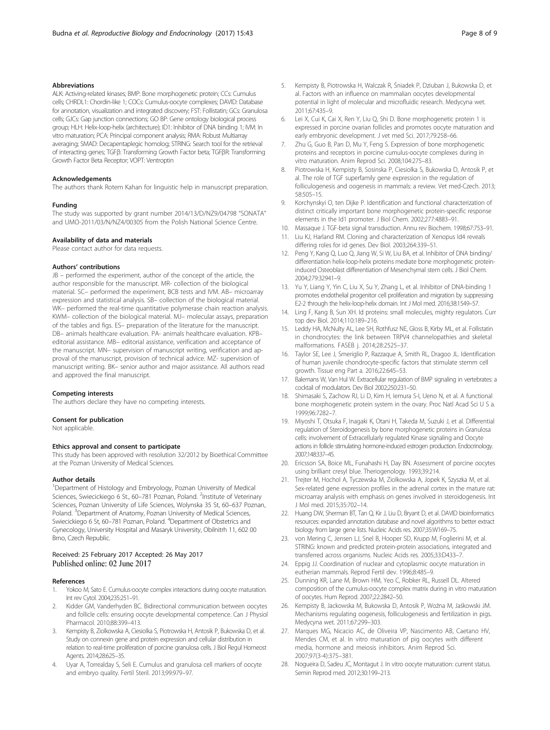### <span id="page-7-0"></span>Abbreviations

ALK: Activing-related kinases; BMP: Bone morphogenetic protein; CCs: Cumulus cells; CHRDL1: Chordin-like 1; COCs: Cumulus-oocyte complexes; DAVID: Database for annotation, visualization and integrated discovery; FST: Follistatin; GCs: Granulosa cells; GJCs: Gap junction connections; GO BP: Gene ontology biological process group; HLH: Helix-loop-helix (architecture); ID1: Inhibitor of DNA binding 1; IVM: In vitro maturation; PCA: Principal component analysis; RMA: Robust Multiarray averaging; SMAD: Decapentaplegic homolog; STRING: Search tool for the retrieval of interacting genes; TGFβ: Transforming Growth Factor beta; TGFβR: Transforming Growth Factor Beta Receptor; VOPT: Ventroptin

#### Acknowledgements

The authors thank Rotem Kahan for linguistic help in manuscript preparation.

#### Funding

The study was supported by grant number 2014/13/D/NZ9/04798 "SONATA" and UMO-2011/03/N/NZ4/00305 from the Polish National Science Centre.

#### Availability of data and materials

Please contact author for data requests.

#### Authors' contributions

JB – performed the experiment, author of the concept of the article, the author responsible for the manuscript. MR- collection of the biological material. SC– performed the experiment, BCB tests and IVM. AB– microarray expression and statistical analysis. SB– collection of the biological material. WK– performed the real-time quantitative polymerase chain reaction analysis. KWM– collection of the biological material. MJ– molecular assays, preparation of the tables and figs. ES– preparation of the literature for the manuscript. DB– animals healthcare evaluation. PA- animals healthcare evaluation. KPB– editorial assistance. MB– editorial assistance, verification and acceptance of the manuscript. MN– supervision of manuscript writing, verification and approval of the manuscript, provision of technical advice. MZ- supervision of manuscript writing. BK– senior author and major assistance. All authors read and approved the final manuscript.

#### Competing interests

The authors declare they have no competing interests.

#### Consent for publication

Not applicable.

#### Ethics approval and consent to participate

This study has been approved with resolution 32/2012 by Bioethical Committee at the Poznan University of Medical Sciences.

#### Author details

<sup>1</sup>Department of Histology and Embryology, Poznan University of Medical Sciences, Swiecickiego 6 St., 60-781 Poznan, Poland. <sup>2</sup>Institute of Veterinary Sciences, Poznan University of Life Sciences, Wolynska 35 St, 60–637 Poznan, Poland. <sup>3</sup> Department of Anatomy, Poznan University of Medical Sciences, Swiecickiego 6 St, 60–781 Poznan, Poland. <sup>4</sup>Department of Obstetrics and Gynecology, University Hospital and Masaryk University, Obilnitrh 11, 602 00 Brno, Czech Republic.

### Received: 25 February 2017 Accepted: 26 May 2017 Published online: 02 June 2017

#### References

- 1. Yokoo M, Sato E. Cumulus-oocyte complex interactions during oocyte maturation. Int rev Cytol. 2004;235:251–91.
- 2. Kidder GM, Vanderhyden BC. Bidirectional communication between oocytes and follicle cells: ensuring oocyte developmental competence. Can J Physiol Pharmacol. 2010;88:399–413.
- 3. Kempisty B, Ziolkowska A, Ciesiolka S, Piotrowska H, Antosik P, Bukowska D, et al. Study on connexin gene and protein expression and cellular distribution in relation to real-time proliferation of porcine granulosa cells. J Biol Regul Homeost Agents. 2014;28:625–35.
- 4. Uyar A, Torrealday S, Seli E. Cumulus and granulosa cell markers of oocyte and embryo quality. Fertil Steril. 2013;99:979–97.
- 5. Kempisty B, Piotrowska H, Walczak R, Śniadek P, Dziuban J, Bukowska D, et al. Factors with an influence on mammalian oocytes developmental potential in light of molecular and microfluidic research. Medycyna wet. 2011;67:435–9.
- 6. Lei X, Cui K, Cai X, Ren Y, Liu Q, Shi D. Bone morphogenetic protein 1 is expressed in porcine ovarian follicles and promotes oocyte maturation and early embryonic development. J vet med Sci. 2017;79:258–66.
- 7. Zhu G, Guo B, Pan D, Mu Y, Feng S. Expression of bone morphogenetic proteins and receptors in porcine cumulus-oocyte complexes during in vitro maturation. Anim Reprod Sci. 2008;104:275–83.
- 8. Piotrowska H, Kempisty B, Sosinska P, Ciesiolka S, Bukowska D, Antosik P, et al. The role of TGF superfamily gene expression in the regulation of folliculogenesis and oogenesis in mammals: a review. Vet med-Czech. 2013; 58:505–15.
- 9. Korchynskyi O, ten Dijke P. Identification and functional characterization of distinct critically important bone morphogenetic protein-specific response elements in the Id1 promoter. J Biol Chem. 2002;277:4883–91.
- 10. Massaque J. TGF-beta signal transduction. Annu rev Biochem. 1998;67:753–91.
- 11. Liu KJ, Harland RM. Cloning and characterization of Xenopus Id4 reveals differing roles for id genes. Dev Biol. 2003;264:339–51.
- 12. Peng Y, Kang Q, Luo Q, Jiang W, Si W, Liu BA, et al. Inhibitor of DNA binding/ differentiation helix-loop-helix proteins mediate bone morphogenetic proteininduced Osteoblast differentiation of Mesenchymal stem cells. J Biol Chem. 2004;279:32941–9.
- 13. Yu Y, Liang Y, Yin C, Liu X, Su Y, Zhang L, et al. Inhibitor of DNA-binding 1 promotes endothelial progenitor cell proliferation and migration by suppressing E2-2 through the helix-loop-helix domain. Int J Mol med. 2016;38:1549–57.
- 14. Ling F, Kang B, Sun XH. Id proteins: small molecules, mighty regulators. Curr top dev Biol. 2014;110:189–216.
- 15. Leddy HA, McNulty AL, Lee SH, Rothfusz NE, Gloss B, Kirby ML, et al. Follistatin in chondrocytes: the link between TRPV4 channelopathies and skeletal malformations. FASEB j. 2014;28:2525–37.
- 16. Taylor SE, Lee J, Smeriglio P, Razzaque A, Smith RL, Dragoo JL. Identification of human juvenile chondrocyte-specific factors that stimulate stemm cell growth. Tissue eng Part a. 2016;22:645–53.
- 17. Balemans W, Van Hul W. Extracellular regulation of BMP signaling in vertebrates: a cocktail of modulators. Dev Biol 2002;250:231–50.
- 18. Shimasaki S, Zachow RJ, Li D, Kim H, Iemura S-I, Ueno N, et al. A functional bone morphogenetic protein system in the ovary. Proc Natl Acad Sci U S a. 1999;96:7282–7.
- 19. Miyoshi T, Otsuka F, Inagaki K, Otani H, Takeda M, Suzuki J, et al. Differential regulation of Steroidogenesis by bone morphogenetic proteins in Granulosa cells: involvement of Extracellularly regulated Kinase signaling and Oocyte actions in follicle stimulating hormone-induced estrogen production. Endocrinology. 2007;148:337–45.
- 20. Ericsson SA, Boice ML, Funahashi H, Day BN. Assessment of porcine oocytes using brilliant cresyl blue. Theriogenology. 1993;39:214.
- 21. Trejter M, Hochol A, Tyczewska M, Ziolkowska A, Jopek K, Szyszka M, et al. Sex-related gene expression profiles in the adrenal cortex in the mature rat: microarray analysis with emphasis on genes involved in steroidogenesis. Int J Mol med. 2015;35:702–14.
- 22. Huang DW, Sherman BT, Tan Q, Kir J, Liu D, Bryant D, et al. DAVID bioinformatics resources: expanded annotation database and novel algorithms to better extract biology from large gene lists. Nucleic Acids res. 2007;35:W169–75.
- 23. von Mering C, Jensen LJ, Snel B, Hooper SD, Krupp M, Foglierini M, et al. STRING: known and predicted protein-protein associations, integrated and transferred across organisms. Nucleic Acids res. 2005;33:D433–7.
- 24. Eppig JJ. Coordination of nuclear and cytoplasmic oocyte maturation in eutherian mammals. Reprod Fertil dev. 1996;8:485–9.
- 25. Dunning KR, Lane M, Brown HM, Yeo C, Robker RL, Russell DL. Altered composition of the cumulus-oocyte complex matrix during in vitro maturation of oocytes. Hum Reprod. 2007;22:2842–50.
- 26. Kempisty B, Jackowska M, Bukowska D, Antosik P, Woźna M, Jaśkowski JM. Mechanisms regulating oogenesis, folliculogenesis and fertilization in pigs. Medycyna wet. 2011;67:299–303.
- 27. Marques MG, Nicacio AC, de Oliveira VP, Nascimento AB, Caetano HV, Mendes CM, et al. In vitro maturation of pig oocytes with different media, hormone and meiosis inhibitors. Anim Reprod Sci. 2007;97(3-4):375–381.
- 28. Nogueira D, Sadeu JC, Montagut J. In vitro oocyte maturation: current status. Semin Reprod med. 2012;30:199–213.